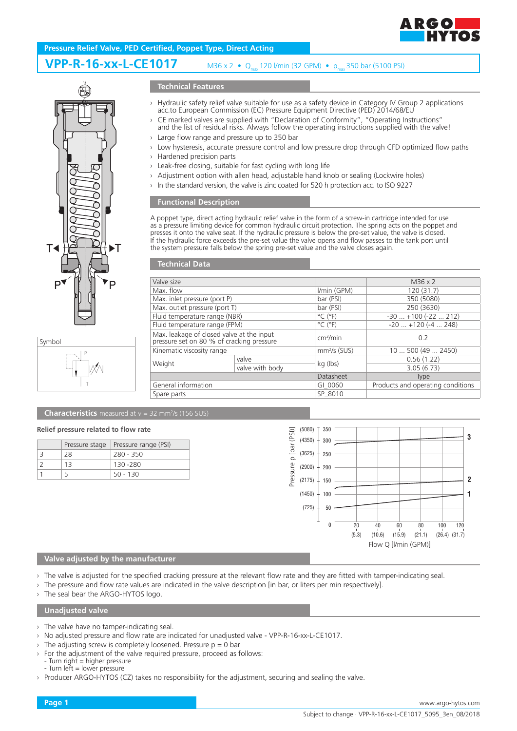

# **Pressure Relief Valve, PED Certified, Poppet Type, Direct Acting**

#### **VPP-R-16-xx-L-CE1017** M36 x 2 • Q<sub>max</sub> 120 l/min (32 GPM) • p<sub>max</sub> 350 bar (5100 PSI)





## **Technical Features**

- › Hydraulic safety relief valve suitable for use as a safety device in Category IV Group 2 applications acc.to European Commission (EC) Pressure Equipment Directive (PED) 2014/68/EU
- › CE marked valves are supplied with "Declaration of Conformity", "Operating Instructions" and the list of residual risks. Always follow the operating instructions supplied with the valve!
- › Large flow range and pressure up to 350 bar
- › Low hysteresis, accurate pressure control and low pressure drop through CFD optimized flow paths
- › Hardened precision parts
- › Leak-free closing, suitable for fast cycling with long life
- › Adjustment option with allen head, adjustable hand knob or sealing (Lockwire holes)
- In the standard version, the valve is zinc coated for 520 h protection acc. to ISO 9227

### **Functional Description**

A poppet type, direct acting hydraulic relief valve in the form of a screw-in cartridge intended for use as a pressure limiting device for common hydraulic circuit protection. The spring acts on the poppet and presses it onto the valve seat. If the hydraulic pressure is below the pre-set value, the valve is closed. If the hydraulic force exceeds the pre-set value the valve opens and flow passes to the tank port until the system pressure falls below the spring pre-set value and the valve closes again.

### **Technical Data**

| Valve size                                                                             |                 |                              | M36 x 2                           |
|----------------------------------------------------------------------------------------|-----------------|------------------------------|-----------------------------------|
| Max. flow                                                                              |                 | $Vmin$ (GPM)                 | 120 (31.7)                        |
| Max. inlet pressure (port P)                                                           |                 | bar (PSI)                    | 350 (5080)                        |
| Max. outlet pressure (port T)                                                          |                 | bar (PSI)                    | 250 (3630)                        |
| Fluid temperature range (NBR)                                                          |                 | $^{\circ}$ C ( $^{\circ}$ F) | $-30$ $+100$ ( $-22$ 212)         |
| Fluid temperature range (FPM)                                                          |                 | $^{\circ}$ C ( $^{\circ}$ F) | $-20$ $+120$ ( $-4$ 248)          |
| Max. leakage of closed valve at the input<br>pressure set on 80 % of cracking pressure |                 | cm <sup>3</sup> /min         | 0.2                               |
| Kinematic viscosity range                                                              |                 | $mm2/s$ (SUS)                | 10500(492450)                     |
| Weight                                                                                 | valve           | kg (lbs)                     | 0.56(1.22)                        |
|                                                                                        | valve with body |                              | 3.05(6.73)                        |
|                                                                                        |                 | Datasheet                    | <b>Type</b>                       |
| General information                                                                    |                 | GI 0060                      | Products and operating conditions |
| Spare parts                                                                            |                 | SP 8010                      |                                   |

#### **Characteristics** measured at  $v = 32$  mm<sup>2</sup>/s (156 SUS)

#### **Relief pressure related to flow rate**

|    | Pressure stage   Pressure range (PSI) |
|----|---------------------------------------|
| 28 | 280 - 350                             |
| 13 | 130 - 280                             |
|    | $50 - 130$                            |



## **Valve adjusted by the manufacturer**

- › The valve is adjusted for the specified cracking pressure at the relevant flow rate and they are fitted with tamper-indicating seal.
- The pressure and flow rate values are indicated in the valve description [in bar, or liters per min respectively].
- The seal bear the ARGO-HYTOS logo.

### **Unadjusted valve**

- › The valve have no tamper-indicating seal.
- › No adjusted pressure and flow rate are indicated for unadjusted valve VPP-R-16-xx-L-CE1017.
- $\rightarrow$  The adjusting screw is completely loosened. Pressure  $p = 0$  bar
- For the adjustment of the valve required pressure, proceed as follows:
- Turn right = higher pressure - Turn left = lower pressure
- › Producer ARGO-HYTOS (CZ) takes no responsibility for the adjustment, securing and sealing the valve.